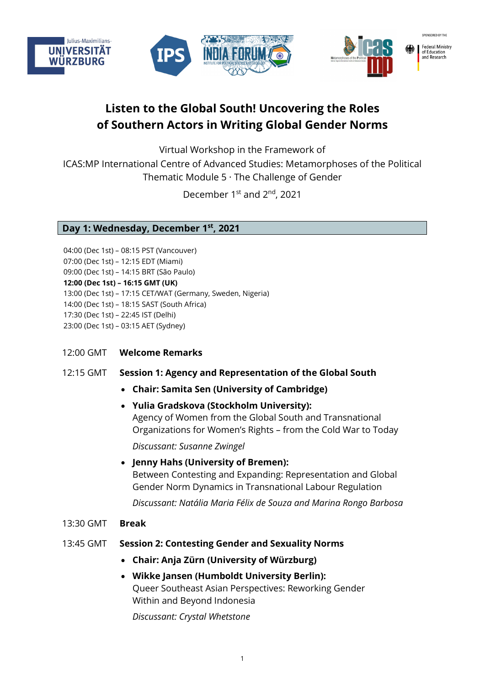

# **Listen to the Global South! Uncovering the Roles of Southern Actors in Writing Global Gender Norms**

Virtual Workshop in the Framework of

ICAS:MP International Centre of Advanced Studies: Metamorphoses of the Political Thematic Module 5 · The Challenge of Gender

December 1<sup>st</sup> and 2<sup>nd</sup>, 2021

**Day 1: Wednesday, December 1st, 2021**

04:00 (Dec 1st) – 08:15 PST (Vancouver) 07:00 (Dec 1st) – 12:15 EDT (Miami) 09:00 (Dec 1st) – 14:15 BRT (São Paulo) **12:00 (Dec 1st) – 16:15 GMT (UK)** 13:00 (Dec 1st) – 17:15 CET/WAT (Germany, Sweden, Nigeria) 14:00 (Dec 1st) – 18:15 SAST (South Africa) 17:30 (Dec 1st) – 22:45 IST (Delhi) 23:00 (Dec 1st) – 03:15 AET (Sydney)

12:00 GMT **Welcome Remarks**

## 12:15 GMT **Session 1: Agency and Representation of the Global South**

- **Chair: Samita Sen (University of Cambridge)**
- **Yulia Gradskova (Stockholm University):** Agency of Women from the Global South and Transnational Organizations for Women's Rights – from the Cold War to Today

*Discussant: Susanne Zwingel*

• **Jenny Hahs (University of Bremen):** Between Contesting and Expanding: Representation and Global Gender Norm Dynamics in Transnational Labour Regulation

*Discussant: Natália Maria Félix de Souza and Marina Rongo Barbosa*

## 13:30 GMT **Break**

# 13:45 GMT **Session 2: Contesting Gender and Sexuality Norms**

• **Chair: Anja Zürn (University of Würzburg)**

# • **Wikke Jansen (Humboldt University Berlin):**  Queer Southeast Asian Perspectives: Reworking Gender Within and Beyond Indonesia

*Discussant: Crystal Whetstone*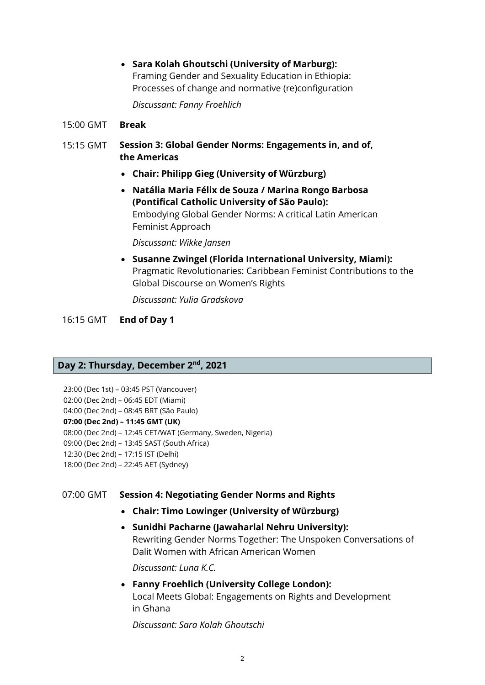• **Sara Kolah Ghoutschi (University of Marburg):**  Framing Gender and Sexuality Education in Ethiopia: Processes of change and normative (re)configuration

*Discussant: Fanny Froehlich*

- 15:00 GMT **Break**
- 15:15 GMT **Session 3: Global Gender Norms: Engagements in, and of, the Americas**
	- **Chair: Philipp Gieg (University of Würzburg)**
	- **Natália Maria Félix de Souza / Marina Rongo Barbosa (Pontifical Catholic University of São Paulo):**  Embodying Global Gender Norms: A critical Latin American Feminist Approach

*Discussant: Wikke Jansen*

• **Susanne Zwingel (Florida International University, Miami):** Pragmatic Revolutionaries: Caribbean Feminist Contributions to the Global Discourse on Women's Rights

*Discussant: Yulia Gradskova*

16:15 GMT **End of Day 1**

# **Day 2: Thursday, December 2nd, 2021**

23:00 (Dec 1st) – 03:45 PST (Vancouver)

02:00 (Dec 2nd) – 06:45 EDT (Miami) 04:00 (Dec 2nd) – 08:45 BRT (São Paulo)

**07:00 (Dec 2nd) – 11:45 GMT (UK)**

08:00 (Dec 2nd) – 12:45 CET/WAT (Germany, Sweden, Nigeria)

09:00 (Dec 2nd) – 13:45 SAST (South Africa)

- 12:30 (Dec 2nd) 17:15 IST (Delhi)
- 18:00 (Dec 2nd) 22:45 AET (Sydney)

# 07:00 GMT **Session 4: Negotiating Gender Norms and Rights**

- **Chair: Timo Lowinger (University of Würzburg)**
- **Sunidhi Pacharne (Jawaharlal Nehru University):**  Rewriting Gender Norms Together: The Unspoken Conversations of Dalit Women with African American Women

*Discussant: Luna K.C.*

• **Fanny Froehlich (University College London):**  Local Meets Global: Engagements on Rights and Development in Ghana

*Discussant: Sara Kolah Ghoutschi*